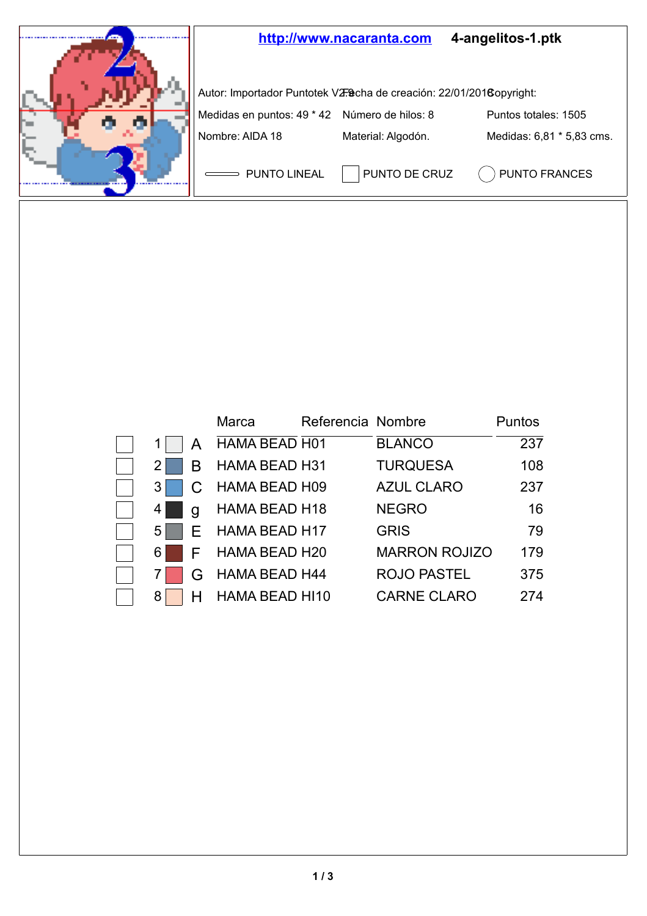

|     |              | Marca                | Referencia Nombre |                      | Puntos |
|-----|--------------|----------------------|-------------------|----------------------|--------|
| 1   | A            | HAMA BEAD H01        |                   | <b>BLANCO</b>        | 237    |
| 21  | B            | HAMA BEAD H31        |                   | <b>TURQUESA</b>      | 108    |
| 3   | $\mathsf{C}$ | HAMA BEAD H09        |                   | <b>AZUL CLARO</b>    | 237    |
| 4   | g            | HAMA BEAD H18        |                   | <b>NEGRO</b>         | 16     |
| 5   |              | $E$ HAMA BEAD H17    |                   | <b>GRIS</b>          | 79     |
| 6 I |              | F HAMA BEAD H20      |                   | <b>MARRON ROJIZO</b> | 179    |
| 71  | G            | <b>HAMA BEAD H44</b> |                   | ROJO PASTEL          | 375    |
| 81  | н            | HAMA BEAD HI10       |                   | CARNE CLARO          | 274    |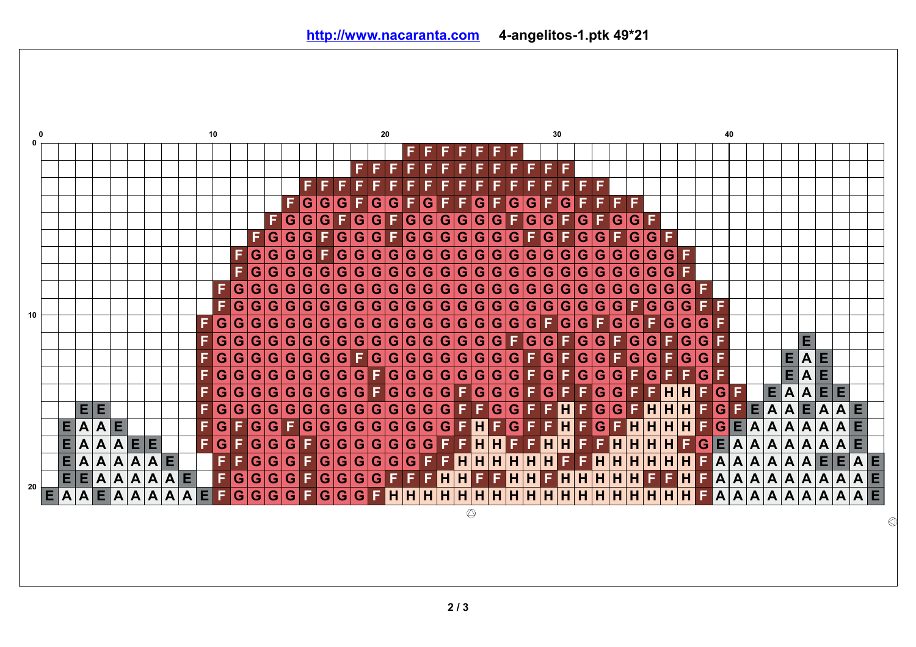

**2 / 3**